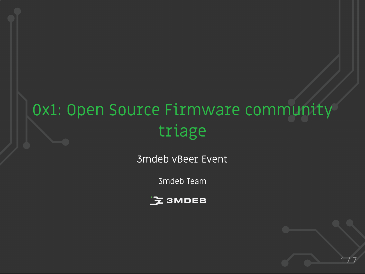# 0x1: Open Source Firmware community triage

3mdeb vBeer Event

3mdeb Team



 $1/7$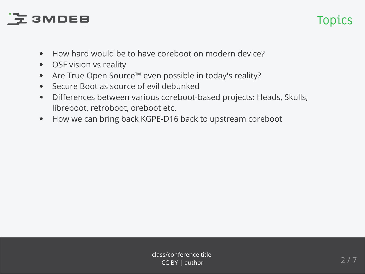## **Z3MDEB**

## Topics

- How hard would be to have coreboot on modern device?  $\bullet$
- OSF vision vs reality  $\bullet$
- Are True Open Source™ even possible in today's reality?  $\bullet$
- Secure Boot as source of evil debunked
- Differences between various coreboot-based projects: Heads, Skulls,  $\bullet$ libreboot, retroboot, oreboot etc.
- How we can bring back KGPE-D16 back to upstream coreboot  $\bullet$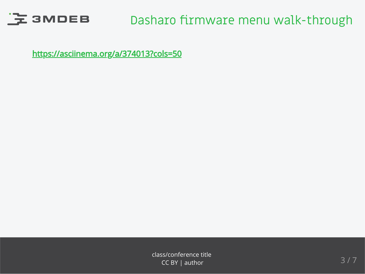

### Dasharo firmware menu walk-through

<https://asciinema.org/a/374013?cols=50>

class/conference title  $\frac{1}{3}$  / 7 CC BY | author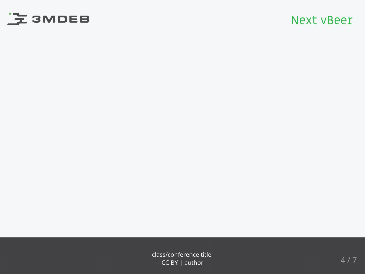

#### Next vBeer

class/conference title<br>
CC BY Lauthor 4 / 7 CC BY | author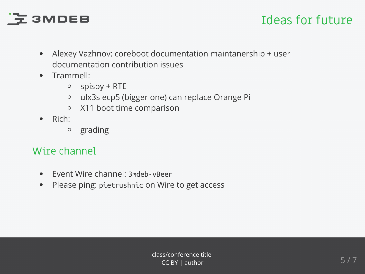# 

#### Ideas for future

- Alexey Vazhnov: coreboot documentation maintanership + user  $\bullet$ documentation contribution issues
- Trammell:
	- $\circ$  spispy + RTE
	- ulx3s ecp5 (bigger one) can replace Orange Pi  $\circ$
	- X11 boot time comparison  $\circ$
- Rich:  $\bullet$ 
	- grading  $\circ$

#### Wire channel

- Event Wire channel: 3mdeb-vBeer  $\bullet$
- Please ping: pietrushnic on Wire to get access  $\bullet$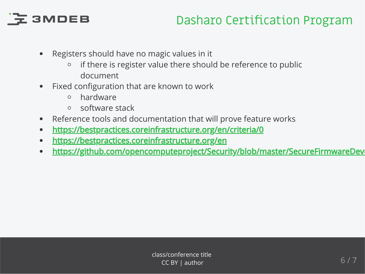# $E$  3MDEB

### Dasharo Certification Program

- Registers should have no magic values in it
	- if there is register value there should be reference to public  $\circ$ document
- Fixed configuration that are known to work
	- hardware  $\circ$
	- software stack  $\circ$
- Reference tools and documentation that will prove feature works  $\bullet$
- <https://bestpractices.coreinfrastructure.org/en/criteria/0>  $\bullet$
- <https://bestpractices.coreinfrastructure.org/en>  $\bullet$
- [https://github.com/opencomputeproject/Security/blob/master/SecureFirmwareDeve](https://github.com/opencomputeproject/Security/blob/master/SecureFirmwareDevelopmentBestPractices.md)  $\bullet$